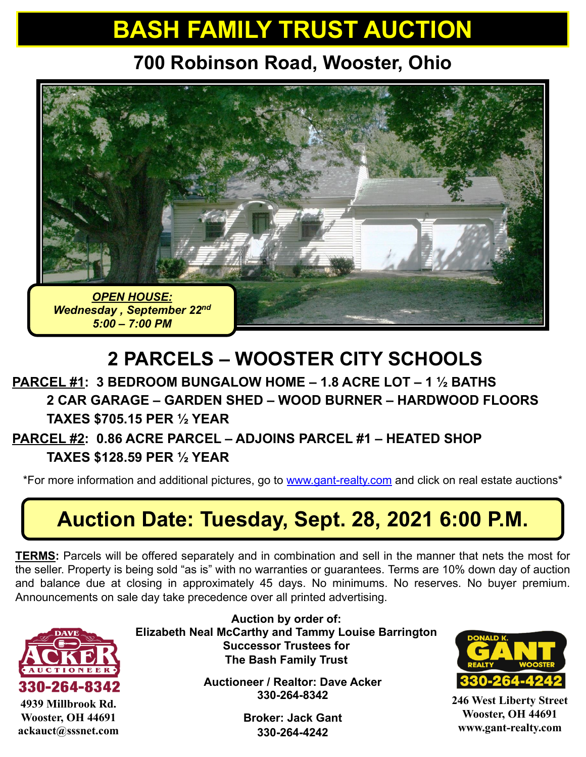# **BASH FAMILY TRUST AUCTION**

**700 Robinson Road, Wooster, Ohio**



## **2 PARCELS – WOOSTER CITY SCHOOLS**

#### **PARCEL #1: 3 BEDROOM BUNGALOW HOME – 1.8 ACRE LOT – 1 ½ BATHS 2 CAR GARAGE – GARDEN SHED – WOOD BURNER – HARDWOOD FLOORS TAXES \$705.15 PER ½ YEAR**

#### **PARCEL #2: 0.86 ACRE PARCEL – ADJOINS PARCEL #1 – HEATED SHOP TAXES \$128.59 PER ½ YEAR**

\*For more information and additional pictures, go to [www.gant-realty.com](http://www.gant-realty.com/) and click on real estate auctions\*

## **Auction Date: Tuesday, Sept. 28, 2021 6:00 P.M.**

**TERMS:** Parcels will be offered separately and in combination and sell in the manner that nets the most for the seller. Property is being sold "as is" with no warranties or guarantees. Terms are 10% down day of auction and balance due at closing in approximately 45 days. No minimums. No reserves. No buyer premium. Announcements on sale day take precedence over all printed advertising.



**4939 Millbrook Rd. Wooster, OH 44691 ackauct@sssnet.com**

**Auction by order of: Elizabeth Neal McCarthy and Tammy Louise Barrington Successor Trustees for The Bash Family Trust**

> **Auctioneer / Realtor: Dave Acker 330-264-8342**

> > **Broker: Jack Gant 330-264-4242**



**246 West Liberty Street Wooster, OH 44691 www.gant-realty.com**